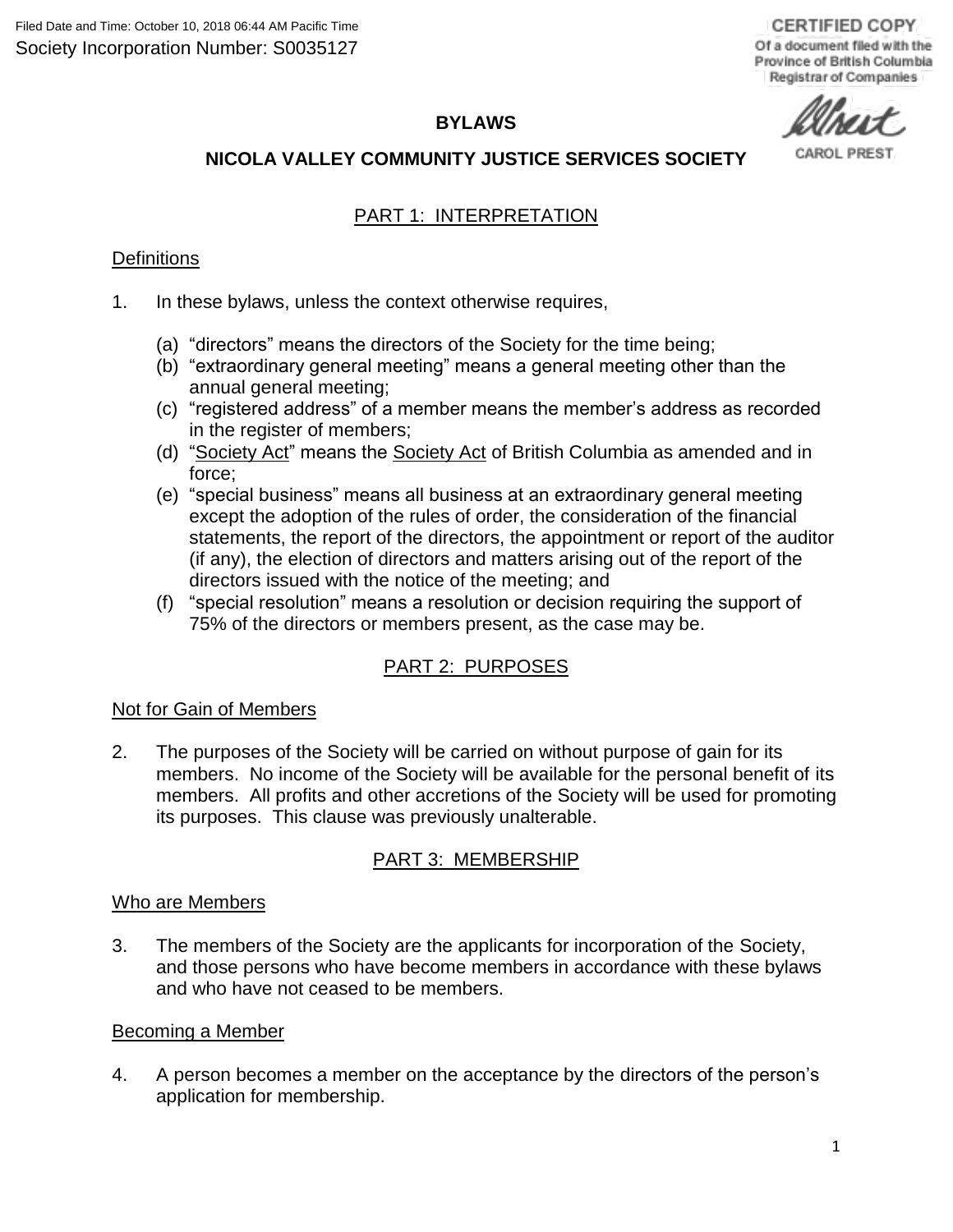## **BYLAWS**

# **NICOLA VALLEY COMMUNITY JUSTICE SERVICES SOCIETY**

#### CAROL PRES'

# PART 1: INTERPRETATION

#### **Definitions**

- 1. In these bylaws, unless the context otherwise requires,
	- (a) "directors" means the directors of the Society for the time being;
	- (b) "extraordinary general meeting" means a general meeting other than the annual general meeting;
	- (c) "registered address" of a member means the member's address as recorded in the register of members;
	- (d) "Society Act" means the Society Act of British Columbia as amended and in force;
	- (e) "special business" means all business at an extraordinary general meeting except the adoption of the rules of order, the consideration of the financial statements, the report of the directors, the appointment or report of the auditor (if any), the election of directors and matters arising out of the report of the directors issued with the notice of the meeting; and
	- (f) "special resolution" means a resolution or decision requiring the support of 75% of the directors or members present, as the case may be.

# PART 2: PURPOSES

#### Not for Gain of Members

2. The purposes of the Society will be carried on without purpose of gain for its members. No income of the Society will be available for the personal benefit of its members. All profits and other accretions of the Society will be used for promoting its purposes. This clause was previously unalterable.

### PART 3: MEMBERSHIP

#### Who are Members

3. The members of the Society are the applicants for incorporation of the Society, and those persons who have become members in accordance with these bylaws and who have not ceased to be members.

#### Becoming a Member

4. A person becomes a member on the acceptance by the directors of the person's application for membership.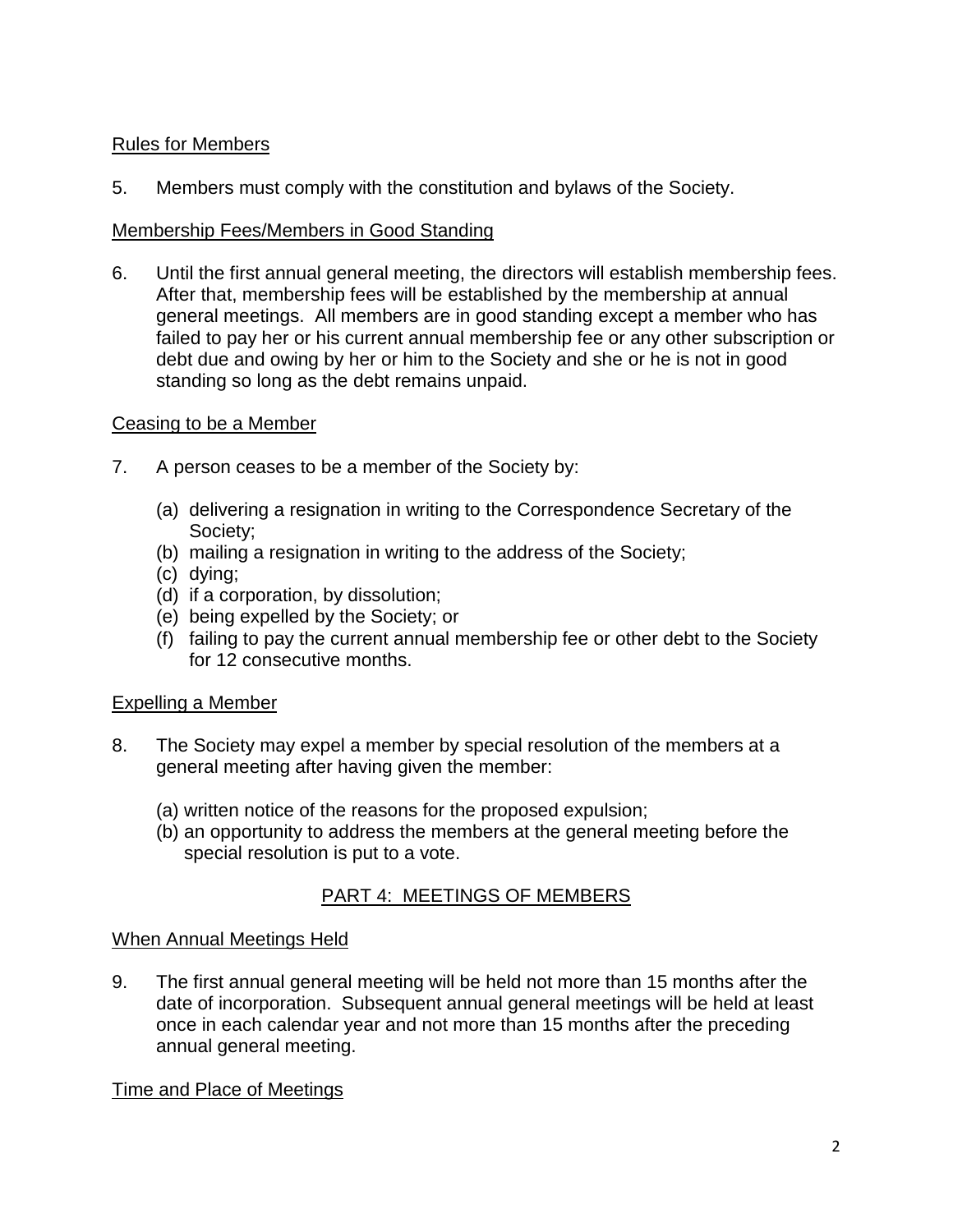# Rules for Members

5. Members must comply with the constitution and bylaws of the Society.

## Membership Fees/Members in Good Standing

6. Until the first annual general meeting, the directors will establish membership fees. After that, membership fees will be established by the membership at annual general meetings. All members are in good standing except a member who has failed to pay her or his current annual membership fee or any other subscription or debt due and owing by her or him to the Society and she or he is not in good standing so long as the debt remains unpaid.

## Ceasing to be a Member

- 7. A person ceases to be a member of the Society by:
	- (a) delivering a resignation in writing to the Correspondence Secretary of the Society;
	- (b) mailing a resignation in writing to the address of the Society;
	- (c) dying;
	- (d) if a corporation, by dissolution;
	- (e) being expelled by the Society; or
	- (f) failing to pay the current annual membership fee or other debt to the Society for 12 consecutive months.

# Expelling a Member

- 8. The Society may expel a member by special resolution of the members at a general meeting after having given the member:
	- (a) written notice of the reasons for the proposed expulsion;
	- (b) an opportunity to address the members at the general meeting before the special resolution is put to a vote.

# PART 4: MEETINGS OF MEMBERS

### When Annual Meetings Held

9. The first annual general meeting will be held not more than 15 months after the date of incorporation. Subsequent annual general meetings will be held at least once in each calendar year and not more than 15 months after the preceding annual general meeting.

# Time and Place of Meetings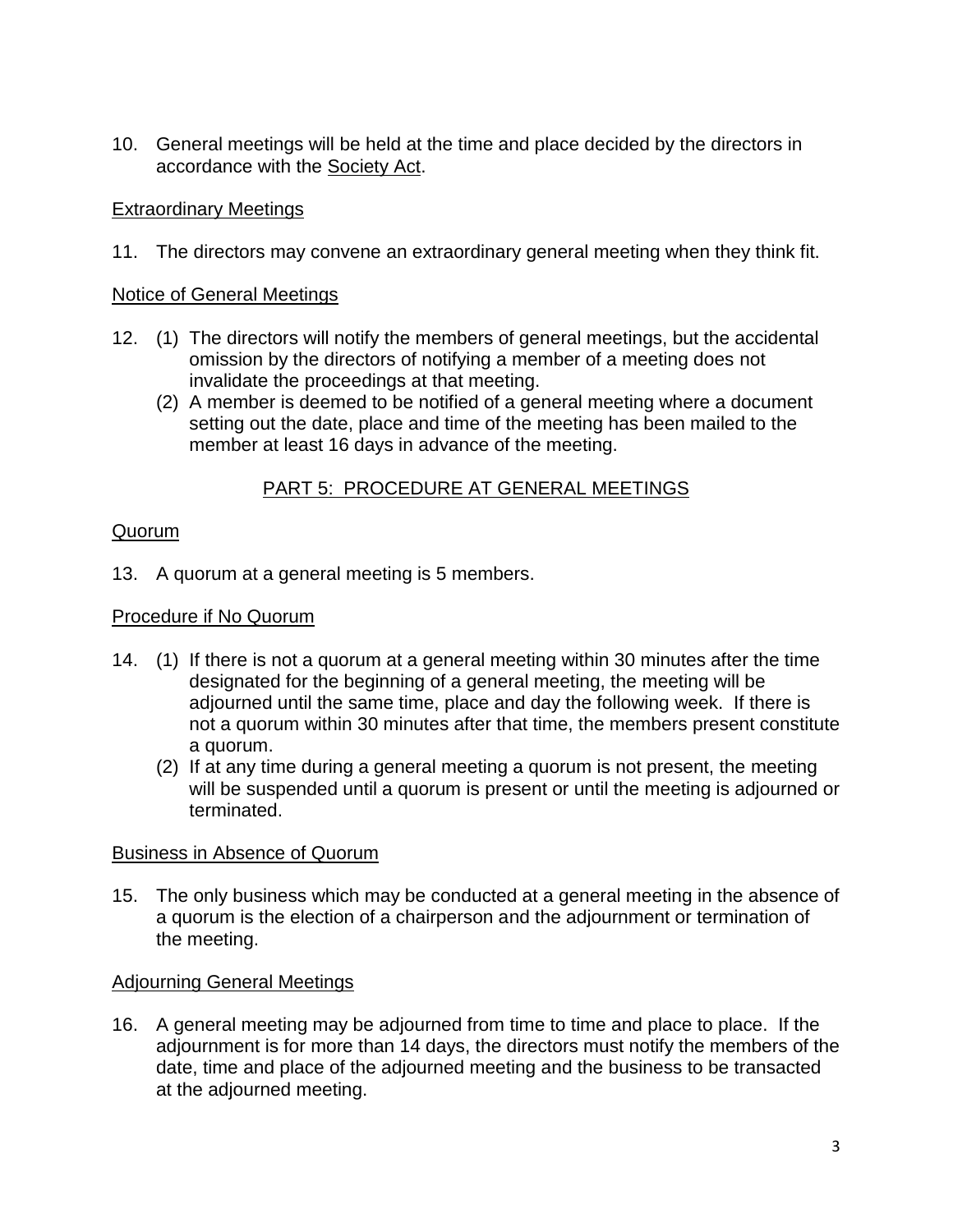10. General meetings will be held at the time and place decided by the directors in accordance with the Society Act.

## Extraordinary Meetings

11. The directors may convene an extraordinary general meeting when they think fit.

## Notice of General Meetings

- 12. (1) The directors will notify the members of general meetings, but the accidental omission by the directors of notifying a member of a meeting does not invalidate the proceedings at that meeting.
	- (2) A member is deemed to be notified of a general meeting where a document setting out the date, place and time of the meeting has been mailed to the member at least 16 days in advance of the meeting.

# PART 5: PROCEDURE AT GENERAL MEETINGS

# Quorum

13. A quorum at a general meeting is 5 members.

## Procedure if No Quorum

- 14. (1) If there is not a quorum at a general meeting within 30 minutes after the time designated for the beginning of a general meeting, the meeting will be adjourned until the same time, place and day the following week. If there is not a quorum within 30 minutes after that time, the members present constitute a quorum.
	- (2) If at any time during a general meeting a quorum is not present, the meeting will be suspended until a quorum is present or until the meeting is adjourned or terminated.

# Business in Absence of Quorum

15. The only business which may be conducted at a general meeting in the absence of a quorum is the election of a chairperson and the adjournment or termination of the meeting.

# Adjourning General Meetings

16. A general meeting may be adjourned from time to time and place to place. If the adjournment is for more than 14 days, the directors must notify the members of the date, time and place of the adjourned meeting and the business to be transacted at the adjourned meeting.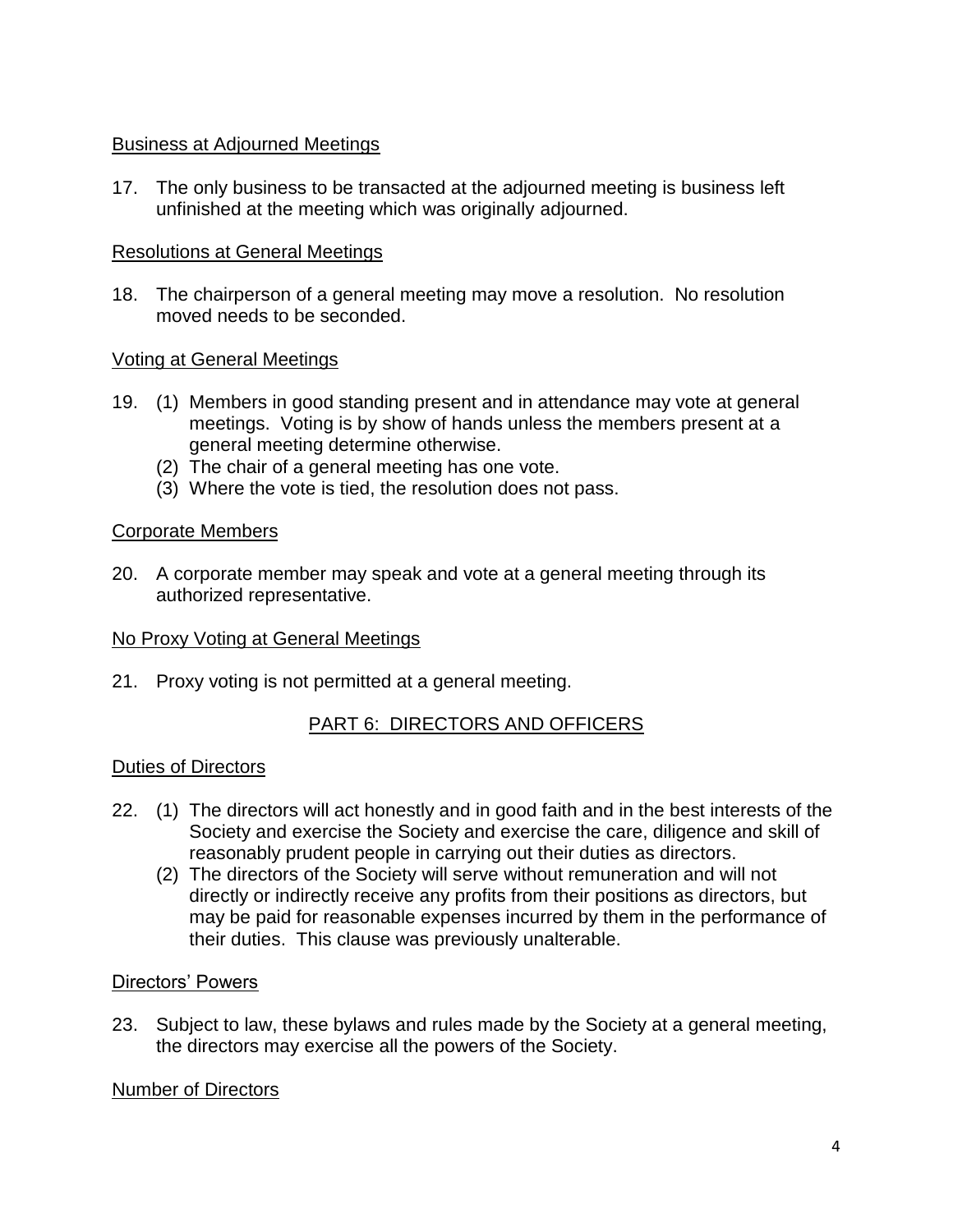## Business at Adjourned Meetings

17. The only business to be transacted at the adjourned meeting is business left unfinished at the meeting which was originally adjourned.

### Resolutions at General Meetings

18. The chairperson of a general meeting may move a resolution. No resolution moved needs to be seconded.

## Voting at General Meetings

- 19. (1) Members in good standing present and in attendance may vote at general meetings. Voting is by show of hands unless the members present at a general meeting determine otherwise.
	- (2) The chair of a general meeting has one vote.
	- (3) Where the vote is tied, the resolution does not pass.

## Corporate Members

20. A corporate member may speak and vote at a general meeting through its authorized representative.

### No Proxy Voting at General Meetings

21. Proxy voting is not permitted at a general meeting.

# PART 6: DIRECTORS AND OFFICERS

### Duties of Directors

- 22. (1) The directors will act honestly and in good faith and in the best interests of the Society and exercise the Society and exercise the care, diligence and skill of reasonably prudent people in carrying out their duties as directors.
	- (2) The directors of the Society will serve without remuneration and will not directly or indirectly receive any profits from their positions as directors, but may be paid for reasonable expenses incurred by them in the performance of their duties. This clause was previously unalterable.

### Directors' Powers

23. Subject to law, these bylaws and rules made by the Society at a general meeting, the directors may exercise all the powers of the Society.

### Number of Directors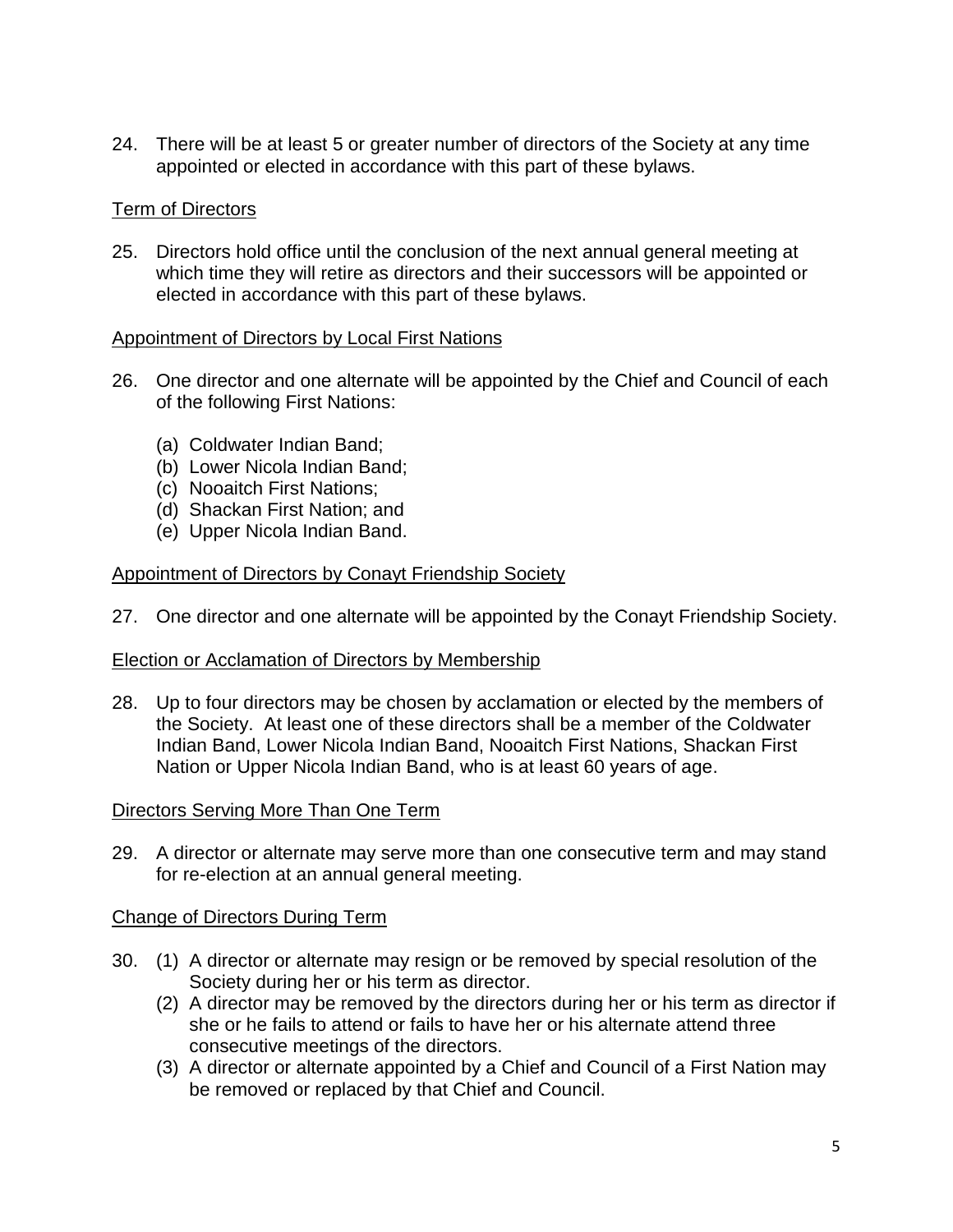24. There will be at least 5 or greater number of directors of the Society at any time appointed or elected in accordance with this part of these bylaws.

### Term of Directors

25. Directors hold office until the conclusion of the next annual general meeting at which time they will retire as directors and their successors will be appointed or elected in accordance with this part of these bylaws.

#### Appointment of Directors by Local First Nations

- 26. One director and one alternate will be appointed by the Chief and Council of each of the following First Nations:
	- (a) Coldwater Indian Band;
	- (b) Lower Nicola Indian Band;
	- (c) Nooaitch First Nations;
	- (d) Shackan First Nation; and
	- (e) Upper Nicola Indian Band.

#### Appointment of Directors by Conayt Friendship Society

27. One director and one alternate will be appointed by the Conayt Friendship Society.

#### Election or Acclamation of Directors by Membership

28. Up to four directors may be chosen by acclamation or elected by the members of the Society. At least one of these directors shall be a member of the Coldwater Indian Band, Lower Nicola Indian Band, Nooaitch First Nations, Shackan First Nation or Upper Nicola Indian Band, who is at least 60 years of age.

#### Directors Serving More Than One Term

29. A director or alternate may serve more than one consecutive term and may stand for re-election at an annual general meeting.

### Change of Directors During Term

- 30. (1) A director or alternate may resign or be removed by special resolution of the Society during her or his term as director.
	- (2) A director may be removed by the directors during her or his term as director if she or he fails to attend or fails to have her or his alternate attend three consecutive meetings of the directors.
	- (3) A director or alternate appointed by a Chief and Council of a First Nation may be removed or replaced by that Chief and Council.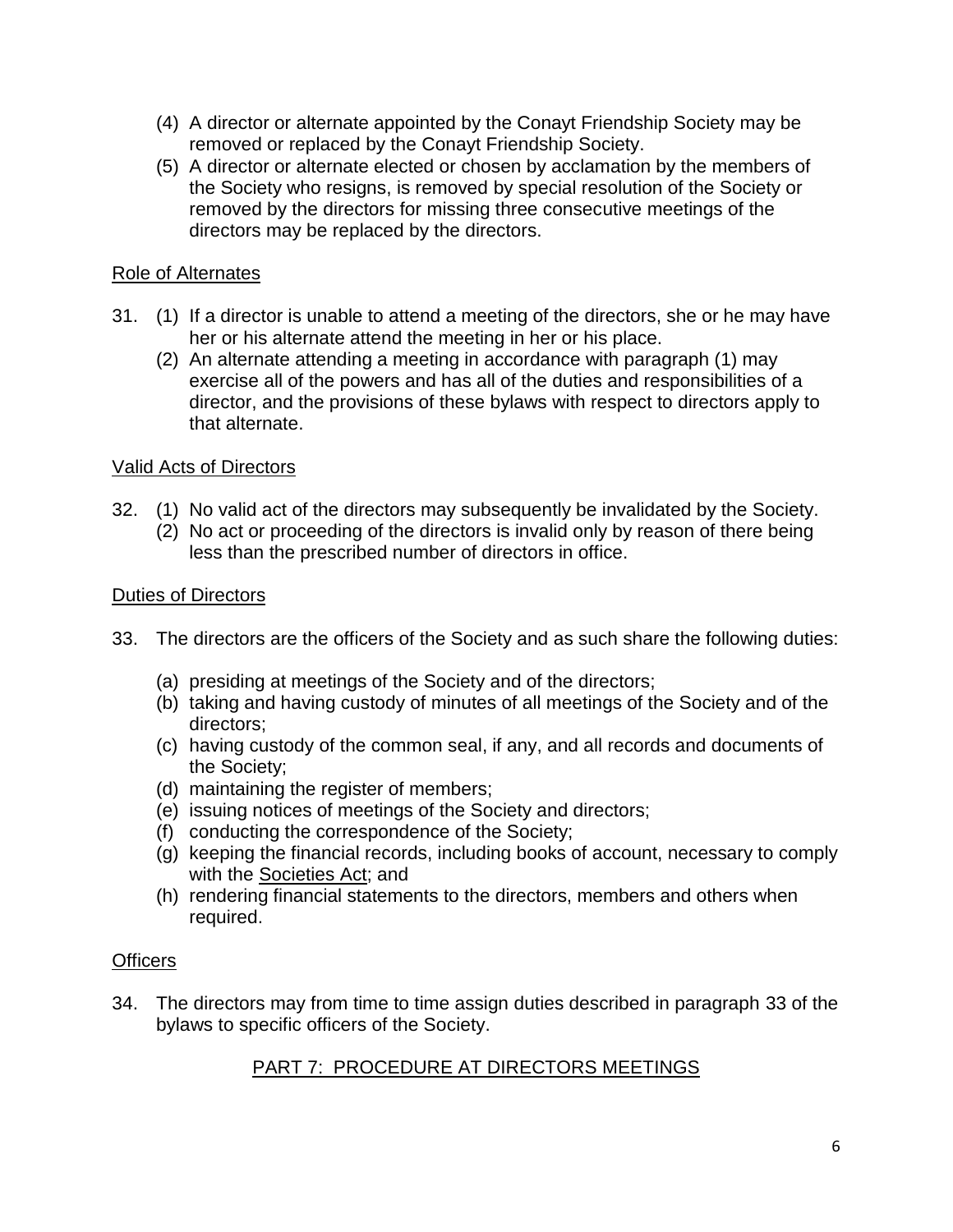- (4) A director or alternate appointed by the Conayt Friendship Society may be removed or replaced by the Conayt Friendship Society.
- (5) A director or alternate elected or chosen by acclamation by the members of the Society who resigns, is removed by special resolution of the Society or removed by the directors for missing three consecutive meetings of the directors may be replaced by the directors.

# Role of Alternates

- 31. (1) If a director is unable to attend a meeting of the directors, she or he may have her or his alternate attend the meeting in her or his place.
	- (2) An alternate attending a meeting in accordance with paragraph (1) may exercise all of the powers and has all of the duties and responsibilities of a director, and the provisions of these bylaws with respect to directors apply to that alternate.

## Valid Acts of Directors

- 32. (1) No valid act of the directors may subsequently be invalidated by the Society.
	- (2) No act or proceeding of the directors is invalid only by reason of there being less than the prescribed number of directors in office.

## Duties of Directors

- 33. The directors are the officers of the Society and as such share the following duties:
	- (a) presiding at meetings of the Society and of the directors;
	- (b) taking and having custody of minutes of all meetings of the Society and of the directors;
	- (c) having custody of the common seal, if any, and all records and documents of the Society;
	- (d) maintaining the register of members;
	- (e) issuing notices of meetings of the Society and directors;
	- (f) conducting the correspondence of the Society;
	- (g) keeping the financial records, including books of account, necessary to comply with the Societies Act; and
	- (h) rendering financial statements to the directors, members and others when required.

# **Officers**

34. The directors may from time to time assign duties described in paragraph 33 of the bylaws to specific officers of the Society.

# PART 7: PROCEDURE AT DIRECTORS MEETINGS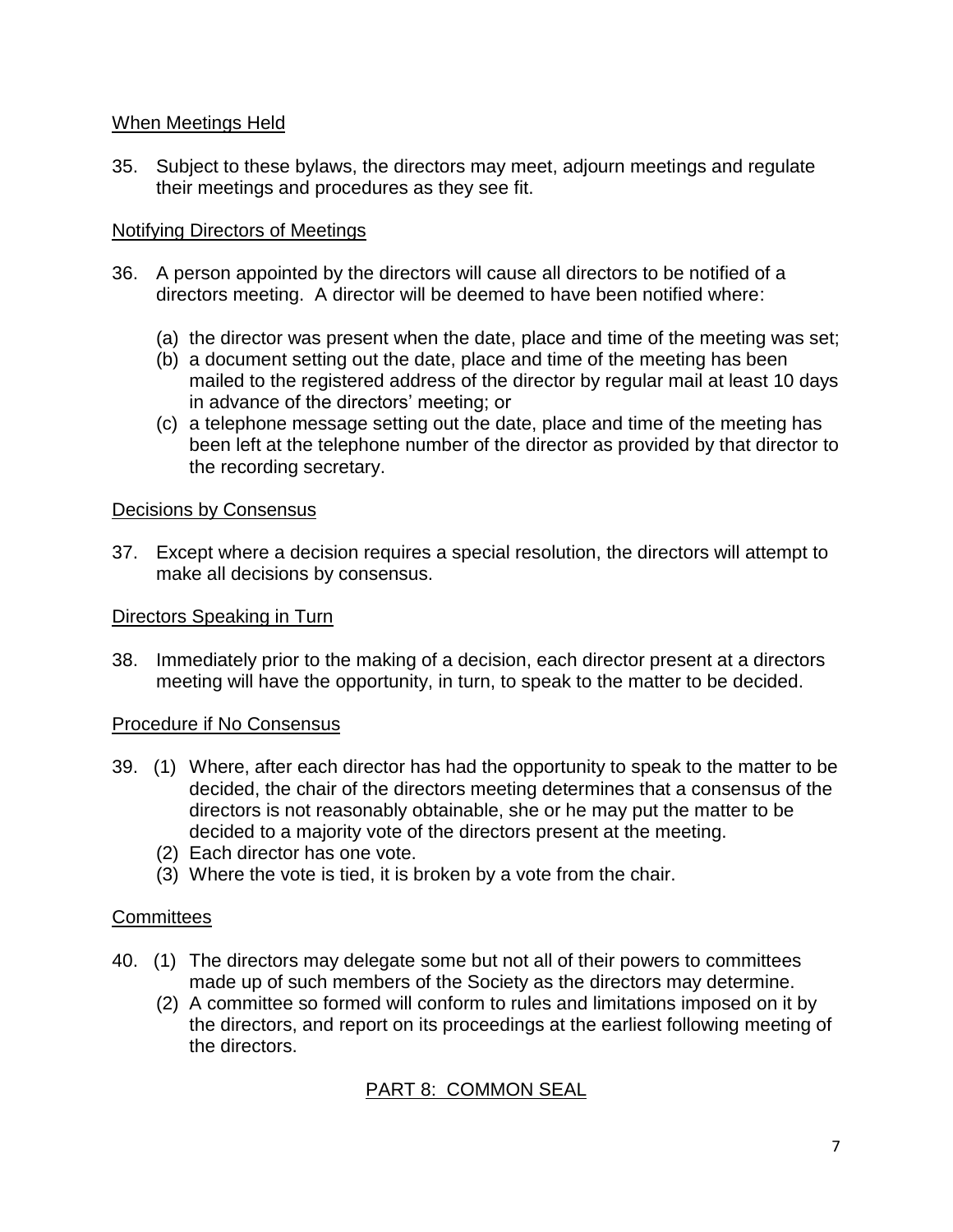## When Meetings Held

35. Subject to these bylaws, the directors may meet, adjourn meetings and regulate their meetings and procedures as they see fit.

### Notifying Directors of Meetings

- 36. A person appointed by the directors will cause all directors to be notified of a directors meeting. A director will be deemed to have been notified where:
	- (a) the director was present when the date, place and time of the meeting was set;
	- (b) a document setting out the date, place and time of the meeting has been mailed to the registered address of the director by regular mail at least 10 days in advance of the directors' meeting; or
	- (c) a telephone message setting out the date, place and time of the meeting has been left at the telephone number of the director as provided by that director to the recording secretary.

### Decisions by Consensus

37. Except where a decision requires a special resolution, the directors will attempt to make all decisions by consensus.

### Directors Speaking in Turn

38. Immediately prior to the making of a decision, each director present at a directors meeting will have the opportunity, in turn, to speak to the matter to be decided.

### Procedure if No Consensus

- 39. (1) Where, after each director has had the opportunity to speak to the matter to be decided, the chair of the directors meeting determines that a consensus of the directors is not reasonably obtainable, she or he may put the matter to be decided to a majority vote of the directors present at the meeting.
	- (2) Each director has one vote.
	- (3) Where the vote is tied, it is broken by a vote from the chair.

# **Committees**

- 40. (1) The directors may delegate some but not all of their powers to committees made up of such members of the Society as the directors may determine.
	- (2) A committee so formed will conform to rules and limitations imposed on it by the directors, and report on its proceedings at the earliest following meeting of the directors.

# PART 8: COMMON SEAL